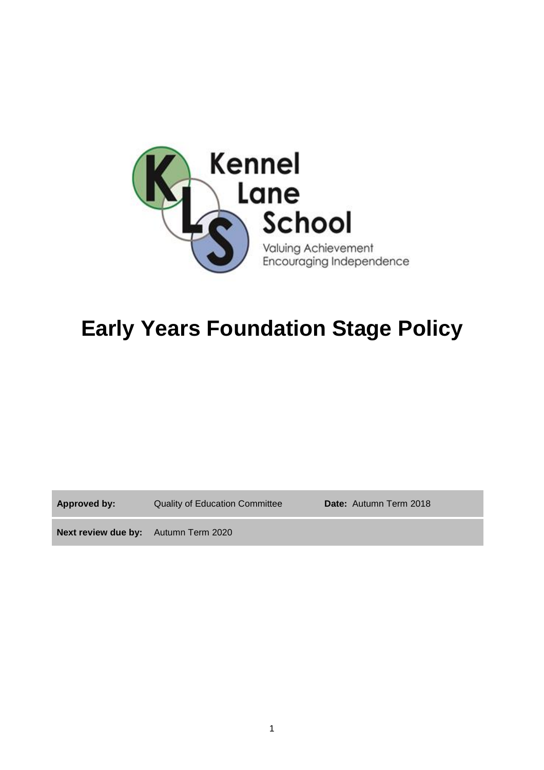

# **Early Years Foundation Stage Policy**

**Approved by:** Quality of Education Committee **Date:** Autumn Term 2018

**Next review due by:** Autumn Term 2020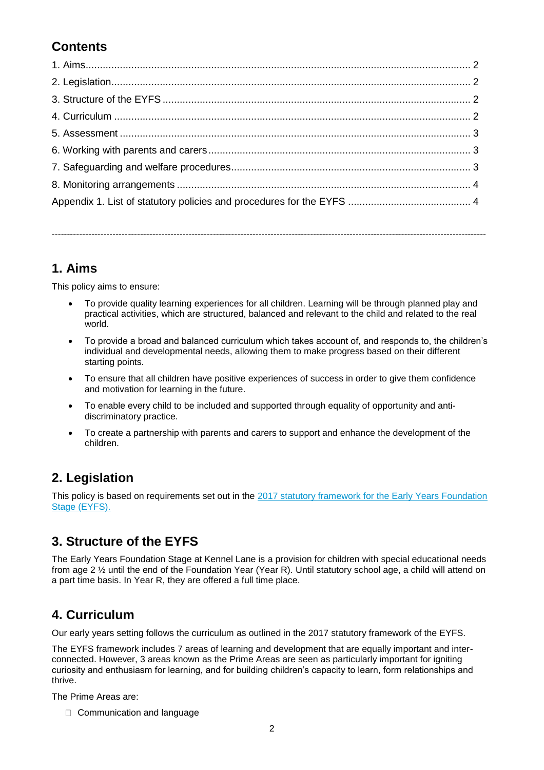## **Contents**

**1. Aims**

This policy aims to ensure:

• To provide quality learning experiences for all children. Learning will be through planned play and practical activities, which are structured, balanced and relevant to the child and related to the real world.

-----------------------------------------------------------------------------------------------------------------------------------------------

- To provide a broad and balanced curriculum which takes account of, and responds to, the children's individual and developmental needs, allowing them to make progress based on their different starting points.
- To ensure that all children have positive experiences of success in order to give them confidence and motivation for learning in the future.
- To enable every child to be included and supported through equality of opportunity and antidiscriminatory practice.
- To create a partnership with parents and carers to support and enhance the development of the children.

## **2. Legislation**

This policy is based on requirements set out in the [2017 statutory framework for](https://www.gov.uk/government/uploads/system/uploads/attachment_data/file/596629/EYFS_STATUTORY_FRAMEWORK_2017.pdf) the Early Years Foundation [Stage \(EYFS\).](https://www.gov.uk/government/uploads/system/uploads/attachment_data/file/596629/EYFS_STATUTORY_FRAMEWORK_2017.pdf)

## **3. Structure of the EYFS**

The Early Years Foundation Stage at Kennel Lane is a provision for children with special educational needs from age 2 ½ until the end of the Foundation Year (Year R). Until statutory school age, a child will attend on a part time basis. In Year R, they are offered a full time place.

## **4. Curriculum**

Our early years setting follows the curriculum as outlined in the 2017 statutory framework of the EYFS.

The EYFS framework includes 7 areas of learning and development that are equally important and interconnected. However, 3 areas known as the Prime Areas are seen as particularly important for igniting curiosity and enthusiasm for learning, and for building children's capacity to learn, form relationships and thrive.

The Prime Areas are:

□ Communication and language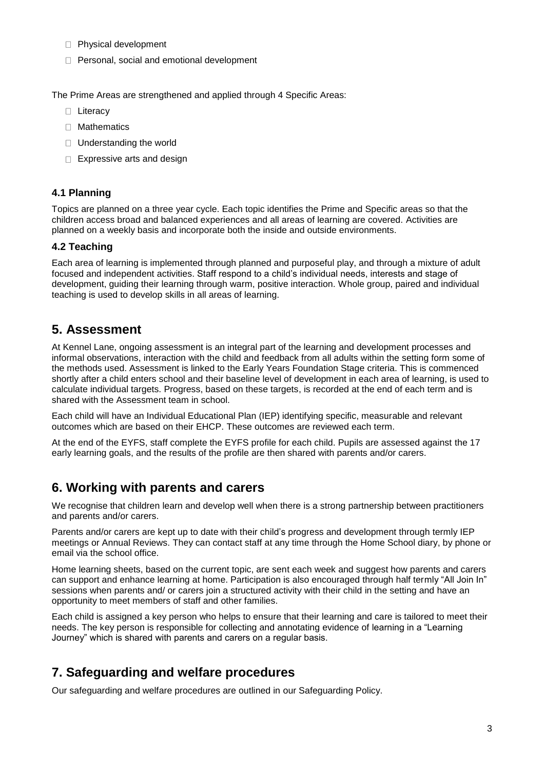- Physical development
- □ Personal, social and emotional development

The Prime Areas are strengthened and applied through 4 Specific Areas:

- □ Literacy
- □ Mathematics
- □ Understanding the world
- □ Expressive arts and design

#### **4.1 Planning**

Topics are planned on a three year cycle. Each topic identifies the Prime and Specific areas so that the children access broad and balanced experiences and all areas of learning are covered. Activities are planned on a weekly basis and incorporate both the inside and outside environments.

#### **4.2 Teaching**

Each area of learning is implemented through planned and purposeful play, and through a mixture of adult focused and independent activities. Staff respond to a child's individual needs, interests and stage of development, guiding their learning through warm, positive interaction. Whole group, paired and individual teaching is used to develop skills in all areas of learning.

### **5. Assessment**

At Kennel Lane, ongoing assessment is an integral part of the learning and development processes and informal observations, interaction with the child and feedback from all adults within the setting form some of the methods used. Assessment is linked to the Early Years Foundation Stage criteria. This is commenced shortly after a child enters school and their baseline level of development in each area of learning, is used to calculate individual targets. Progress, based on these targets, is recorded at the end of each term and is shared with the Assessment team in school.

Each child will have an Individual Educational Plan (IEP) identifying specific, measurable and relevant outcomes which are based on their EHCP. These outcomes are reviewed each term.

At the end of the EYFS, staff complete the EYFS profile for each child. Pupils are assessed against the 17 early learning goals, and the results of the profile are then shared with parents and/or carers.

## **6. Working with parents and carers**

We recognise that children learn and develop well when there is a strong partnership between practitioners and parents and/or carers.

Parents and/or carers are kept up to date with their child's progress and development through termly IEP meetings or Annual Reviews. They can contact staff at any time through the Home School diary, by phone or email via the school office.

Home learning sheets, based on the current topic, are sent each week and suggest how parents and carers can support and enhance learning at home. Participation is also encouraged through half termly "All Join In" sessions when parents and/ or carers join a structured activity with their child in the setting and have an opportunity to meet members of staff and other families.

Each child is assigned a key person who helps to ensure that their learning and care is tailored to meet their needs. The key person is responsible for collecting and annotating evidence of learning in a "Learning Journey" which is shared with parents and carers on a regular basis.

## **7. Safeguarding and welfare procedures**

Our safeguarding and welfare procedures are outlined in our Safeguarding Policy.